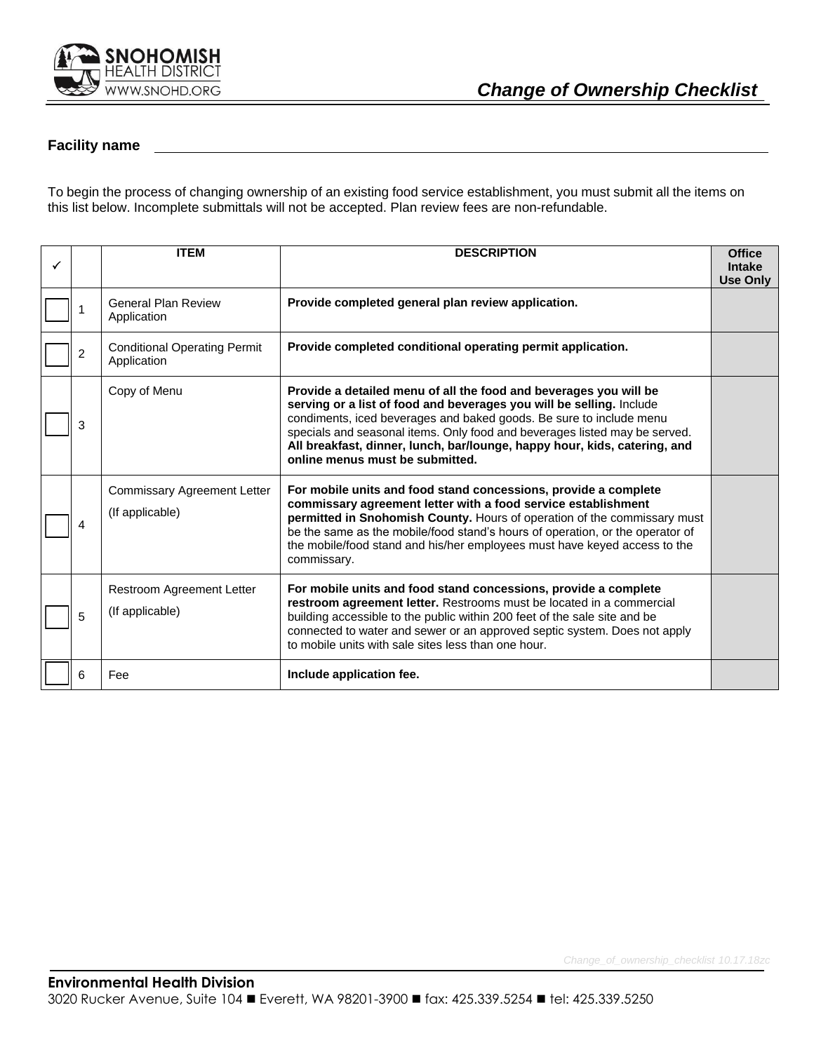

### **Facility name**

To begin the process of changing ownership of an existing food service establishment, you must submit all the items on this list below. Incomplete submittals will not be accepted. Plan review fees are non-refundable.

| ✓ |                | <b>ITEM</b>                                           | <b>DESCRIPTION</b>                                                                                                                                                                                                                                                                                                                                                                                             | <b>Office</b><br><b>Intake</b><br><b>Use Only</b> |
|---|----------------|-------------------------------------------------------|----------------------------------------------------------------------------------------------------------------------------------------------------------------------------------------------------------------------------------------------------------------------------------------------------------------------------------------------------------------------------------------------------------------|---------------------------------------------------|
|   | 1              | <b>General Plan Review</b><br>Application             | Provide completed general plan review application.                                                                                                                                                                                                                                                                                                                                                             |                                                   |
|   | $\overline{c}$ | <b>Conditional Operating Permit</b><br>Application    | Provide completed conditional operating permit application.                                                                                                                                                                                                                                                                                                                                                    |                                                   |
|   | 3              | Copy of Menu                                          | Provide a detailed menu of all the food and beverages you will be<br>serving or a list of food and beverages you will be selling. Include<br>condiments, iced beverages and baked goods. Be sure to include menu<br>specials and seasonal items. Only food and beverages listed may be served.<br>All breakfast, dinner, lunch, bar/lounge, happy hour, kids, catering, and<br>online menus must be submitted. |                                                   |
|   | 4              | <b>Commissary Agreement Letter</b><br>(If applicable) | For mobile units and food stand concessions, provide a complete<br>commissary agreement letter with a food service establishment<br>permitted in Snohomish County. Hours of operation of the commissary must<br>be the same as the mobile/food stand's hours of operation, or the operator of<br>the mobile/food stand and his/her employees must have keyed access to the<br>commissary.                      |                                                   |
|   | 5              | Restroom Agreement Letter<br>(If applicable)          | For mobile units and food stand concessions, provide a complete<br>restroom agreement letter. Restrooms must be located in a commercial<br>building accessible to the public within 200 feet of the sale site and be<br>connected to water and sewer or an approved septic system. Does not apply<br>to mobile units with sale sites less than one hour.                                                       |                                                   |
|   | 6              | Fee                                                   | Include application fee.                                                                                                                                                                                                                                                                                                                                                                                       |                                                   |

*Change\_of\_ownership\_checklist 10.17.18zc*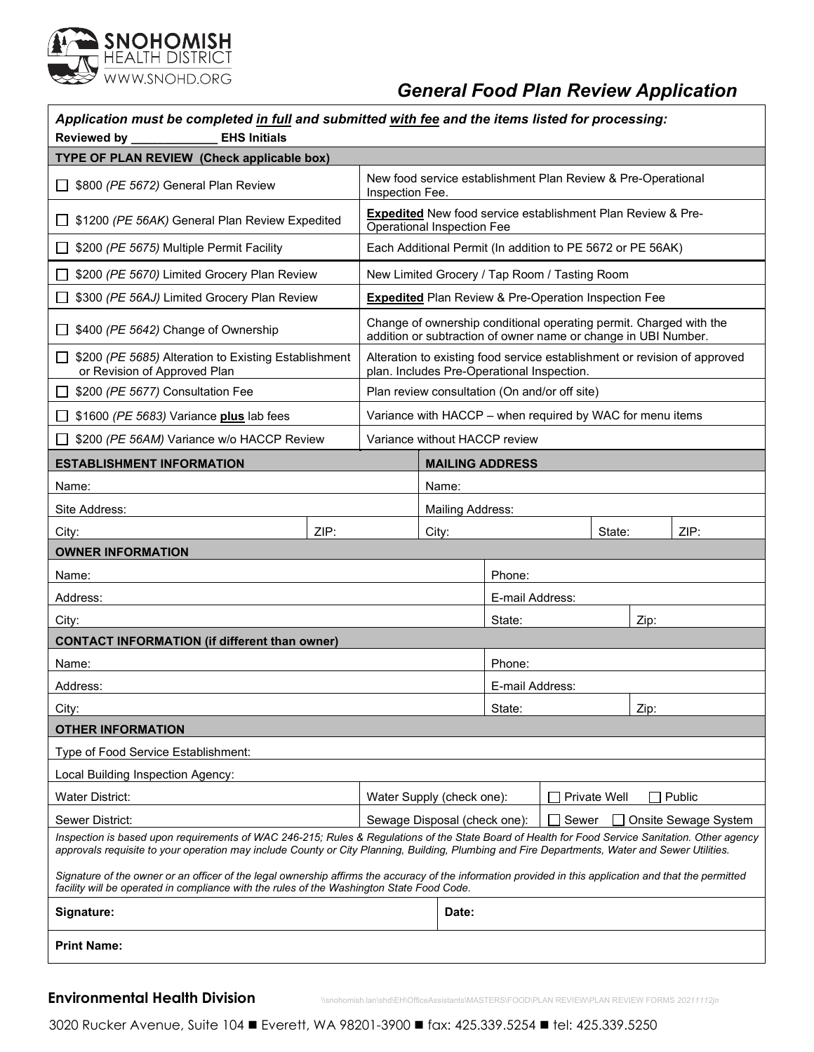

### *General Food Plan Review Application*

| Application must be completed in full and submitted with fee and the items listed for processing:<br>Reviewed by _____________<br><b>EHS Initials</b>                                                                                                                                              |      |                                                                                 |                                                                                                                                      |                 |      |      |  |                                                                           |
|----------------------------------------------------------------------------------------------------------------------------------------------------------------------------------------------------------------------------------------------------------------------------------------------------|------|---------------------------------------------------------------------------------|--------------------------------------------------------------------------------------------------------------------------------------|-----------------|------|------|--|---------------------------------------------------------------------------|
| TYPE OF PLAN REVIEW (Check applicable box)                                                                                                                                                                                                                                                         |      |                                                                                 |                                                                                                                                      |                 |      |      |  |                                                                           |
| \$800 (PE 5672) General Plan Review<br>$\Box$                                                                                                                                                                                                                                                      |      | New food service establishment Plan Review & Pre-Operational<br>Inspection Fee. |                                                                                                                                      |                 |      |      |  |                                                                           |
| \$1200 (PE 56AK) General Plan Review Expedited<br>l 1                                                                                                                                                                                                                                              |      |                                                                                 | <b>Expedited</b> New food service establishment Plan Review & Pre-<br><b>Operational Inspection Fee</b>                              |                 |      |      |  |                                                                           |
| \$200 (PE 5675) Multiple Permit Facility<br>ΙI                                                                                                                                                                                                                                                     |      | Each Additional Permit (In addition to PE 5672 or PE 56AK)                      |                                                                                                                                      |                 |      |      |  |                                                                           |
| \$200 (PE 5670) Limited Grocery Plan Review                                                                                                                                                                                                                                                        |      | New Limited Grocery / Tap Room / Tasting Room                                   |                                                                                                                                      |                 |      |      |  |                                                                           |
| \$300 (PE 56AJ) Limited Grocery Plan Review                                                                                                                                                                                                                                                        |      |                                                                                 | <b>Expedited</b> Plan Review & Pre-Operation Inspection Fee                                                                          |                 |      |      |  |                                                                           |
| \$400 (PE 5642) Change of Ownership                                                                                                                                                                                                                                                                |      |                                                                                 | Change of ownership conditional operating permit. Charged with the<br>addition or subtraction of owner name or change in UBI Number. |                 |      |      |  |                                                                           |
| \$200 (PE 5685) Alteration to Existing Establishment<br>ப<br>or Revision of Approved Plan                                                                                                                                                                                                          |      |                                                                                 | plan. Includes Pre-Operational Inspection.                                                                                           |                 |      |      |  | Alteration to existing food service establishment or revision of approved |
| \$200 (PE 5677) Consultation Fee                                                                                                                                                                                                                                                                   |      |                                                                                 | Plan review consultation (On and/or off site)                                                                                        |                 |      |      |  |                                                                           |
| \$1600 (PE 5683) Variance plus lab fees                                                                                                                                                                                                                                                            |      |                                                                                 | Variance with HACCP - when required by WAC for menu items                                                                            |                 |      |      |  |                                                                           |
| \$200 (PE 56AM) Variance w/o HACCP Review                                                                                                                                                                                                                                                          |      |                                                                                 | Variance without HACCP review                                                                                                        |                 |      |      |  |                                                                           |
| <b>ESTABLISHMENT INFORMATION</b>                                                                                                                                                                                                                                                                   |      |                                                                                 | <b>MAILING ADDRESS</b>                                                                                                               |                 |      |      |  |                                                                           |
| Name:                                                                                                                                                                                                                                                                                              |      |                                                                                 | Name:                                                                                                                                |                 |      |      |  |                                                                           |
| Site Address:                                                                                                                                                                                                                                                                                      |      |                                                                                 | Mailing Address:                                                                                                                     |                 |      |      |  |                                                                           |
| City:                                                                                                                                                                                                                                                                                              | ZIP: |                                                                                 | City:                                                                                                                                | ZIP:<br>State:  |      |      |  |                                                                           |
| <b>OWNER INFORMATION</b>                                                                                                                                                                                                                                                                           |      |                                                                                 |                                                                                                                                      |                 |      |      |  |                                                                           |
| Name:                                                                                                                                                                                                                                                                                              |      |                                                                                 |                                                                                                                                      | Phone:          |      |      |  |                                                                           |
| Address:                                                                                                                                                                                                                                                                                           |      |                                                                                 | E-mail Address:                                                                                                                      |                 |      |      |  |                                                                           |
| City:                                                                                                                                                                                                                                                                                              |      |                                                                                 | State:                                                                                                                               |                 |      | Zip: |  |                                                                           |
| <b>CONTACT INFORMATION (if different than owner)</b>                                                                                                                                                                                                                                               |      |                                                                                 |                                                                                                                                      |                 |      |      |  |                                                                           |
| Name:                                                                                                                                                                                                                                                                                              |      |                                                                                 |                                                                                                                                      | Phone:          |      |      |  |                                                                           |
| Address:                                                                                                                                                                                                                                                                                           |      |                                                                                 |                                                                                                                                      | E-mail Address: |      |      |  |                                                                           |
| City:                                                                                                                                                                                                                                                                                              |      |                                                                                 | State:                                                                                                                               |                 | Zip: |      |  |                                                                           |
| <b>OTHER INFORMATION</b>                                                                                                                                                                                                                                                                           |      |                                                                                 |                                                                                                                                      |                 |      |      |  |                                                                           |
| Type of Food Service Establishment:                                                                                                                                                                                                                                                                |      |                                                                                 |                                                                                                                                      |                 |      |      |  |                                                                           |
| Local Building Inspection Agency:                                                                                                                                                                                                                                                                  |      |                                                                                 |                                                                                                                                      |                 |      |      |  |                                                                           |
| <b>Water District:</b><br>Private Well<br>ヿ Public<br>Water Supply (check one):                                                                                                                                                                                                                    |      |                                                                                 |                                                                                                                                      |                 |      |      |  |                                                                           |
| Sewer District:<br>Sewage Disposal (check one):<br>Sewer<br>Onsite Sewage System                                                                                                                                                                                                                   |      |                                                                                 |                                                                                                                                      |                 |      |      |  |                                                                           |
| Inspection is based upon requirements of WAC 246-215; Rules & Regulations of the State Board of Health for Food Service Sanitation. Other agency<br>approvals requisite to your operation may include County or City Planning, Building, Plumbing and Fire Departments, Water and Sewer Utilities. |      |                                                                                 |                                                                                                                                      |                 |      |      |  |                                                                           |
| Signature of the owner or an officer of the legal ownership affirms the accuracy of the information provided in this application and that the permitted<br>facility will be operated in compliance with the rules of the Washington State Food Code.                                               |      |                                                                                 |                                                                                                                                      |                 |      |      |  |                                                                           |
| Signature:                                                                                                                                                                                                                                                                                         |      |                                                                                 | Date:                                                                                                                                |                 |      |      |  |                                                                           |
| <b>Print Name:</b>                                                                                                                                                                                                                                                                                 |      |                                                                                 |                                                                                                                                      |                 |      |      |  |                                                                           |
|                                                                                                                                                                                                                                                                                                    |      |                                                                                 |                                                                                                                                      |                 |      |      |  |                                                                           |

**Environmental Health Division** \\snohomish.lan\shd\EH\OfficeAssistants\MASTERS\FOOD\PLAN REVIEW\PLAN REVIEW FORMS *20211112jn*

3020 Rucker Avenue, Suite 104 Everett, WA 98201-3900 fax: 425.339.5254 fel: 425.339.5250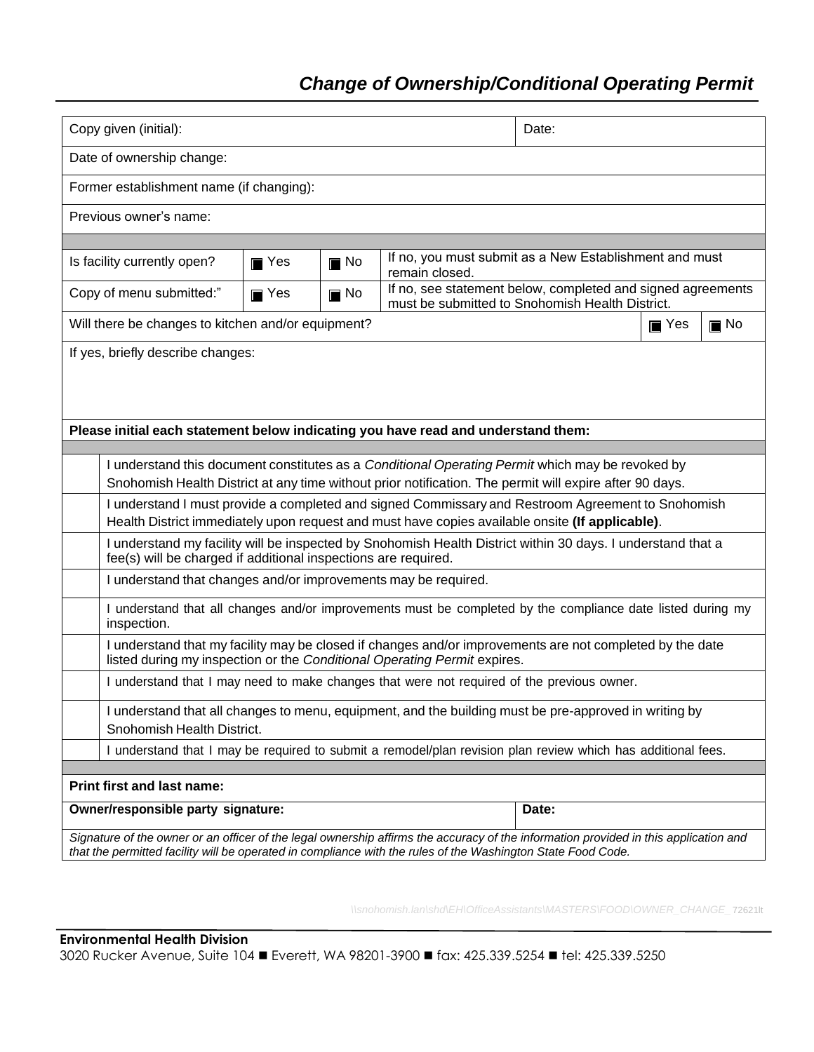# *Change of Ownership/Conditional Operating Permit*

| Copy given (initial):<br>Date:                                                                                                                                                                                                                       |                                                                                                                                                                                                             |                   |                                                                                                                |  |                    |                   |  |  |
|------------------------------------------------------------------------------------------------------------------------------------------------------------------------------------------------------------------------------------------------------|-------------------------------------------------------------------------------------------------------------------------------------------------------------------------------------------------------------|-------------------|----------------------------------------------------------------------------------------------------------------|--|--------------------|-------------------|--|--|
| Date of ownership change:                                                                                                                                                                                                                            |                                                                                                                                                                                                             |                   |                                                                                                                |  |                    |                   |  |  |
| Former establishment name (if changing):                                                                                                                                                                                                             |                                                                                                                                                                                                             |                   |                                                                                                                |  |                    |                   |  |  |
| Previous owner's name:                                                                                                                                                                                                                               |                                                                                                                                                                                                             |                   |                                                                                                                |  |                    |                   |  |  |
|                                                                                                                                                                                                                                                      |                                                                                                                                                                                                             |                   |                                                                                                                |  |                    |                   |  |  |
| If no, you must submit as a New Establishment and must<br>Is facility currently open?<br>$\blacksquare$ No<br>$\blacksquare$ Yes<br>remain closed.                                                                                                   |                                                                                                                                                                                                             |                   |                                                                                                                |  |                    |                   |  |  |
| Copy of menu submitted:"                                                                                                                                                                                                                             | $\blacksquare$ Yes                                                                                                                                                                                          | $\blacksquare$ No | If no, see statement below, completed and signed agreements<br>must be submitted to Snohomish Health District. |  |                    |                   |  |  |
| Will there be changes to kitchen and/or equipment?                                                                                                                                                                                                   |                                                                                                                                                                                                             |                   |                                                                                                                |  | $\blacksquare$ Yes | $\blacksquare$ No |  |  |
| If yes, briefly describe changes:                                                                                                                                                                                                                    |                                                                                                                                                                                                             |                   |                                                                                                                |  |                    |                   |  |  |
|                                                                                                                                                                                                                                                      |                                                                                                                                                                                                             |                   |                                                                                                                |  |                    |                   |  |  |
|                                                                                                                                                                                                                                                      |                                                                                                                                                                                                             |                   |                                                                                                                |  |                    |                   |  |  |
| Please initial each statement below indicating you have read and understand them:                                                                                                                                                                    |                                                                                                                                                                                                             |                   |                                                                                                                |  |                    |                   |  |  |
|                                                                                                                                                                                                                                                      |                                                                                                                                                                                                             |                   |                                                                                                                |  |                    |                   |  |  |
|                                                                                                                                                                                                                                                      | I understand this document constitutes as a Conditional Operating Permit which may be revoked by<br>Snohomish Health District at any time without prior notification. The permit will expire after 90 days. |                   |                                                                                                                |  |                    |                   |  |  |
| I understand I must provide a completed and signed Commissary and Restroom Agreement to Snohomish<br>Health District immediately upon request and must have copies available onsite (If applicable).                                                 |                                                                                                                                                                                                             |                   |                                                                                                                |  |                    |                   |  |  |
| I understand my facility will be inspected by Snohomish Health District within 30 days. I understand that a<br>fee(s) will be charged if additional inspections are required.                                                                        |                                                                                                                                                                                                             |                   |                                                                                                                |  |                    |                   |  |  |
| I understand that changes and/or improvements may be required.                                                                                                                                                                                       |                                                                                                                                                                                                             |                   |                                                                                                                |  |                    |                   |  |  |
| I understand that all changes and/or improvements must be completed by the compliance date listed during my<br>inspection.                                                                                                                           |                                                                                                                                                                                                             |                   |                                                                                                                |  |                    |                   |  |  |
| I understand that my facility may be closed if changes and/or improvements are not completed by the date<br>listed during my inspection or the Conditional Operating Permit expires.                                                                 |                                                                                                                                                                                                             |                   |                                                                                                                |  |                    |                   |  |  |
| I understand that I may need to make changes that were not required of the previous owner.                                                                                                                                                           |                                                                                                                                                                                                             |                   |                                                                                                                |  |                    |                   |  |  |
| I understand that all changes to menu, equipment, and the building must be pre-approved in writing by<br>Snohomish Health District.                                                                                                                  |                                                                                                                                                                                                             |                   |                                                                                                                |  |                    |                   |  |  |
| I understand that I may be required to submit a remodel/plan revision plan review which has additional fees.                                                                                                                                         |                                                                                                                                                                                                             |                   |                                                                                                                |  |                    |                   |  |  |
| <b>Print first and last name:</b>                                                                                                                                                                                                                    |                                                                                                                                                                                                             |                   |                                                                                                                |  |                    |                   |  |  |
| Owner/responsible party signature:<br>Date:                                                                                                                                                                                                          |                                                                                                                                                                                                             |                   |                                                                                                                |  |                    |                   |  |  |
| Signature of the owner or an officer of the legal ownership affirms the accuracy of the information provided in this application and<br>that the permitted facility will be operated in compliance with the rules of the Washington State Food Code. |                                                                                                                                                                                                             |                   |                                                                                                                |  |                    |                   |  |  |
|                                                                                                                                                                                                                                                      |                                                                                                                                                                                                             |                   |                                                                                                                |  |                    |                   |  |  |

*\\snohomish.lan\shd\EH\OfficeAssistants\MASTERS\FOOD\OWNER\_CHANGE\_*72621lt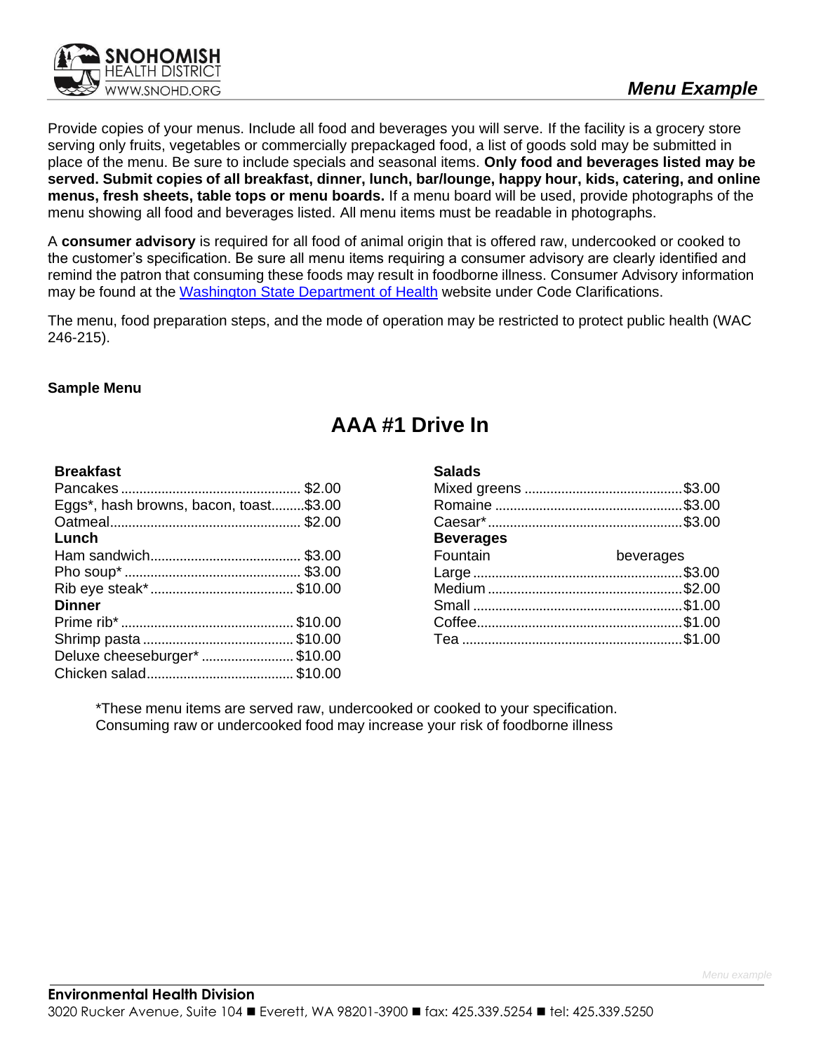

Provide copies of your menus. Include all food and beverages you will serve. If the facility is a grocery store serving only fruits, vegetables or commercially prepackaged food, a list of goods sold may be submitted in place of the menu. Be sure to include specials and seasonal items. **Only food and beverages listed may be served. Submit copies of all breakfast, dinner, lunch, bar/lounge, happy hour, kids, catering, and online menus, fresh sheets, table tops or menu boards.** If a menu board will be used, provide photographs of the menu showing all food and beverages listed. All menu items must be readable in photographs.

A **consumer advisory** is required for all food of animal origin that is offered raw, undercooked or cooked to the customer's specification. Be sure all menu items requiring a consumer advisory are clearly identified and remind the patron that consuming these foods may result in foodborne illness. Consumer Advisory information may be found at the [Washington](http://www.doh.wa.gov/CommunityandEnvironment/Food/FoodWorkerandIndustry/FoodSafetyRules.aspx) State Department of Health website under Code Clarifications.

The menu, food preparation steps, and the mode of operation may be restricted to protect public health (WAC 246-215).

### **Sample Menu**

## **AAA #1 Drive In**

**Salads**

#### **Breakfast**

| Eggs*, hash browns, bacon, toast\$3.00 |
|----------------------------------------|
|                                        |
|                                        |
|                                        |
|                                        |
|                                        |
|                                        |
|                                        |
|                                        |
| Deluxe cheeseburger* \$10.00           |
|                                        |
|                                        |

| valaus           |           |
|------------------|-----------|
|                  |           |
|                  |           |
|                  |           |
| <b>Beverages</b> |           |
| Fountain         | beverages |
|                  |           |
|                  |           |
|                  |           |
|                  |           |
|                  |           |
|                  |           |

\*These menu items are served raw, undercooked or cooked to your specification. Consuming raw or undercooked food may increase your risk of foodborne illness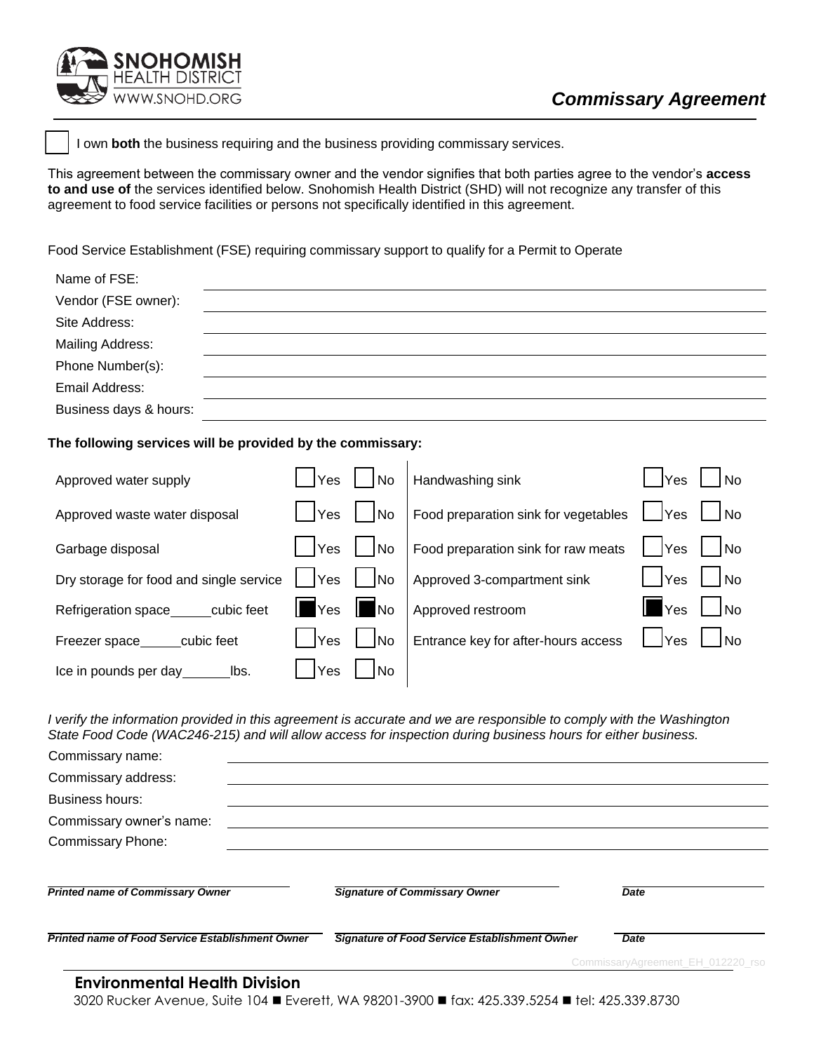

NOHOMISH HEALTH DISTRICT 'WW.SNOHD.ORG

I own **both** the business requiring and the business providing commissary services.

This agreement between the commissary owner and the vendor signifies that both parties agree to the vendor's **access to and use of** the services identified below. Snohomish Health District (SHD) will not recognize any transfer of this agreement to food service facilities or persons not specifically identified in this agreement.

Food Service Establishment (FSE) requiring commissary support to qualify for a Permit to Operate

| Name of FSE:            |  |
|-------------------------|--|
| Vendor (FSE owner):     |  |
| Site Address:           |  |
| <b>Mailing Address:</b> |  |
| Phone Number(s):        |  |
| Email Address:          |  |
| Business days & hours:  |  |

#### **The following services will be provided by the commissary:**

| Approved water supply                   | <b>Yes</b>                  | No.       | Handwashing sink                     | <b>Yes</b>         | <b>No</b>                |
|-----------------------------------------|-----------------------------|-----------|--------------------------------------|--------------------|--------------------------|
| Approved waste water disposal           | <b>Yes</b>                  | No.       | Food preparation sink for vegetables | l <i>Yes</i>       | l INo                    |
| Garbage disposal                        | <b>Yes</b>                  | No        | Food preparation sink for raw meats  | $I$ $ Yes$         | $\vert$ $\vert$ No       |
| Dry storage for food and single service | Yes                         | <b>No</b> | Approved 3-compartment sink          | $\sqrt{1 + 1}$     | l No                     |
| Refrigeration space cubic feet          | $\parallel$ $\parallel$ Yes | llNo      | Approved restroom                    | $\blacksquare$ Yes | l Ino                    |
| Freezer space_____cubic feet            | Yes                         | <b>No</b> | Entrance key for after-hours access  | √ ∣Yes             | $\overline{\mathsf{No}}$ |
| Ice in pounds per day ________ lbs.     | Yes                         | INo.      |                                      |                    |                          |

I verify the information provided in this agreement is accurate and we are responsible to comply with the Washington *State Food Code (WAC246-215) and will allow access for inspection during business hours for either business.*

| Commissary name:                                        |                                               |                                   |
|---------------------------------------------------------|-----------------------------------------------|-----------------------------------|
| Commissary address:                                     |                                               |                                   |
| <b>Business hours:</b>                                  |                                               |                                   |
| Commissary owner's name:                                |                                               |                                   |
| <b>Commissary Phone:</b>                                |                                               |                                   |
| <b>Printed name of Commissary Owner</b>                 | <b>Signature of Commissary Owner</b>          | <b>Date</b>                       |
| <b>Printed name of Food Service Establishment Owner</b> | Signature of Food Service Establishment Owner | Date                              |
|                                                         |                                               | CommissaryAgreement_EH_012220_rso |
| <b>Environmental Health Division</b>                    |                                               |                                   |

3020 Rucker Avenue, Suite 104 ◼ Everett, WA 98201-3900 ◼ fax: 425.339.5254 ◼ tel: 425.339.8730